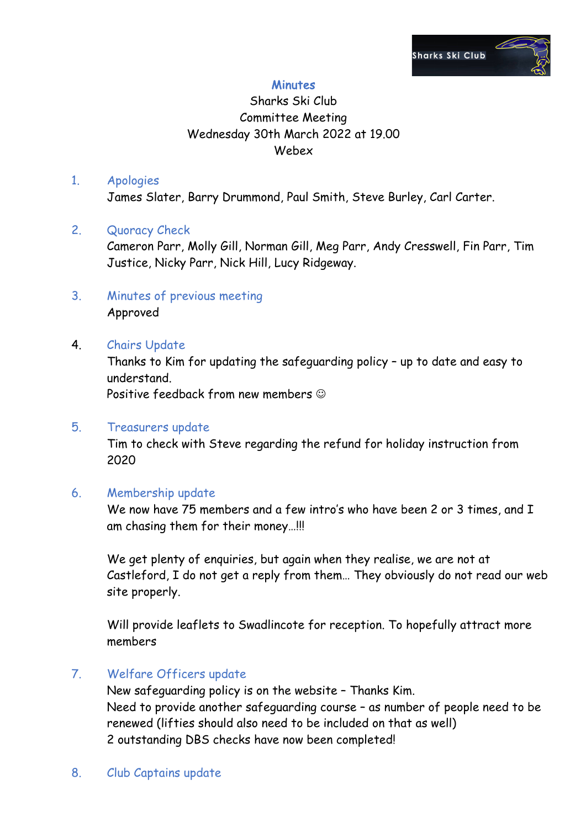

## **Minutes**

# Sharks Ski Club Committee Meeting Wednesday 30th March 2022 at 19.00 Webex

#### 1. Apologies

James Slater, Barry Drummond, Paul Smith, Steve Burley, Carl Carter.

## 2. Quoracy Check

Cameron Parr, Molly Gill, Norman Gill, Meg Parr, Andy Cresswell, Fin Parr, Tim Justice, Nicky Parr, Nick Hill, Lucy Ridgeway.

3. Minutes of previous meeting Approved

## 4. Chairs Update

Thanks to Kim for updating the safeguarding policy – up to date and easy to understand.

Positive feedback from new members  $\odot$ 

### 5. Treasurers update

Tim to check with Steve regarding the refund for holiday instruction from 2020

### 6. Membership update

We now have 75 members and a few intro's who have been 2 or 3 times, and I am chasing them for their money…!!!

We get plenty of enquiries, but again when they realise, we are not at Castleford, I do not get a reply from them… They obviously do not read our web site properly.

Will provide leaflets to Swadlincote for reception. To hopefully attract more members

## 7. Welfare Officers update

New safeguarding policy is on the website – Thanks Kim. Need to provide another safeguarding course – as number of people need to be renewed (lifties should also need to be included on that as well) 2 outstanding DBS checks have now been completed!

## 8. Club Captains update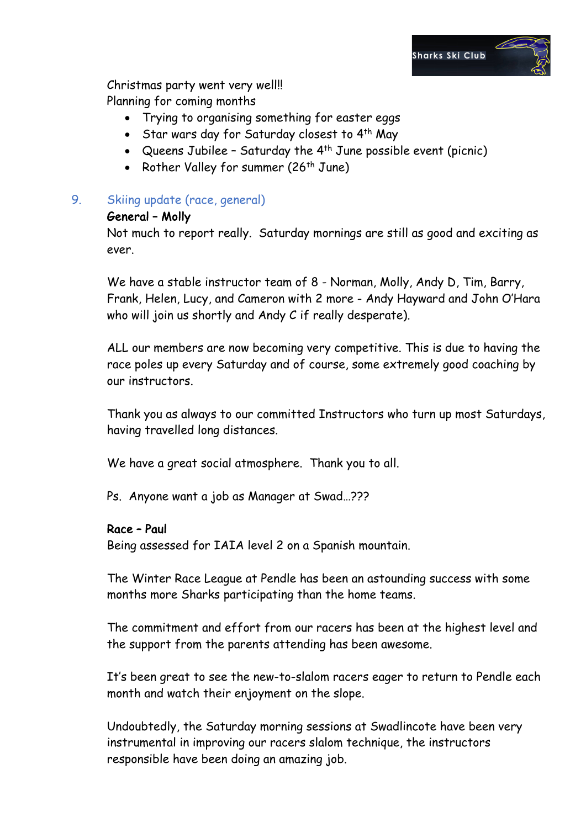

Christmas party went very well!! Planning for coming months

- Trying to organising something for easter eggs
- Star wars day for Saturday closest to 4<sup>th</sup> May
- Queens Jubilee Saturday the  $4<sup>th</sup>$  June possible event (picnic)
- Rother Valley for summer (26<sup>th</sup> June)

## 9. Skiing update (race, general)

### General – Molly

Not much to report really. Saturday mornings are still as good and exciting as ever.

We have a stable instructor team of 8 - Norman, Molly, Andy D, Tim, Barry, Frank, Helen, Lucy, and Cameron with 2 more - Andy Hayward and John O'Hara who will join us shortly and Andy C if really desperate).

ALL our members are now becoming very competitive. This is due to having the race poles up every Saturday and of course, some extremely good coaching by our instructors.

Thank you as always to our committed Instructors who turn up most Saturdays, having travelled long distances.

We have a great social atmosphere. Thank you to all.

Ps. Anyone want a job as Manager at Swad…???

### Race – Paul

Being assessed for IAIA level 2 on a Spanish mountain.

The Winter Race League at Pendle has been an astounding success with some months more Sharks participating than the home teams.

The commitment and effort from our racers has been at the highest level and the support from the parents attending has been awesome.

It's been great to see the new-to-slalom racers eager to return to Pendle each month and watch their enjoyment on the slope.

Undoubtedly, the Saturday morning sessions at Swadlincote have been very instrumental in improving our racers slalom technique, the instructors responsible have been doing an amazing job.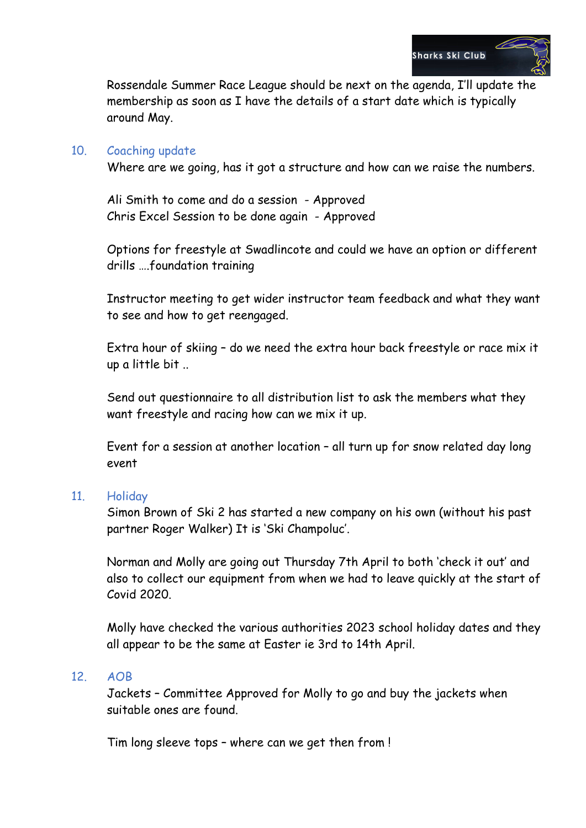

Rossendale Summer Race League should be next on the agenda, I'll update the membership as soon as I have the details of a start date which is typically around May.

#### 10. Coaching update

Where are we going, has it got a structure and how can we raise the numbers.

Ali Smith to come and do a session - Approved Chris Excel Session to be done again - Approved

Options for freestyle at Swadlincote and could we have an option or different drills ….foundation training

Instructor meeting to get wider instructor team feedback and what they want to see and how to get reengaged.

Extra hour of skiing – do we need the extra hour back freestyle or race mix it up a little bit ..

Send out questionnaire to all distribution list to ask the members what they want freestyle and racing how can we mix it up.

Event for a session at another location – all turn up for snow related day long event

#### 11. Holiday

Simon Brown of Ski 2 has started a new company on his own (without his past partner Roger Walker) It is 'Ski Champoluc'.

Norman and Molly are going out Thursday 7th April to both 'check it out' and also to collect our equipment from when we had to leave quickly at the start of Covid 2020.

Molly have checked the various authorities 2023 school holiday dates and they all appear to be the same at Easter ie 3rd to 14th April.

#### 12. AOB

Jackets – Committee Approved for Molly to go and buy the jackets when suitable ones are found.

Tim long sleeve tops – where can we get then from !